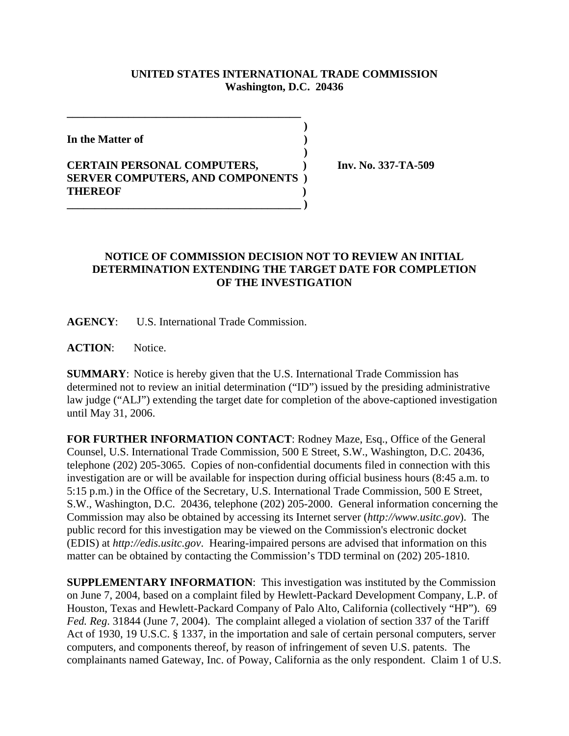## **UNITED STATES INTERNATIONAL TRADE COMMISSION Washington, D.C. 20436**

 **)**

 **)**

**In the Matter of )**

## **CERTAIN PERSONAL COMPUTERS, ) Inv. No. 337-TA-509 SERVER COMPUTERS, AND COMPONENTS ) THEREOF ) \_\_\_\_\_\_\_\_\_\_\_\_\_\_\_\_\_\_\_\_\_\_\_\_\_\_\_\_\_\_\_\_\_\_\_\_\_\_\_\_\_\_ )**

**\_\_\_\_\_\_\_\_\_\_\_\_\_\_\_\_\_\_\_\_\_\_\_\_\_\_\_\_\_\_\_\_\_\_\_\_\_\_\_\_\_\_**

## **NOTICE OF COMMISSION DECISION NOT TO REVIEW AN INITIAL DETERMINATION EXTENDING THE TARGET DATE FOR COMPLETION OF THE INVESTIGATION**

**AGENCY**: U.S. International Trade Commission.

**ACTION**: Notice.

**SUMMARY**: Notice is hereby given that the U.S. International Trade Commission has determined not to review an initial determination ("ID") issued by the presiding administrative law judge ("ALJ") extending the target date for completion of the above-captioned investigation until May 31, 2006.

**FOR FURTHER INFORMATION CONTACT**: Rodney Maze, Esq., Office of the General Counsel, U.S. International Trade Commission, 500 E Street, S.W., Washington, D.C. 20436, telephone (202) 205-3065. Copies of non-confidential documents filed in connection with this investigation are or will be available for inspection during official business hours (8:45 a.m. to 5:15 p.m.) in the Office of the Secretary, U.S. International Trade Commission, 500 E Street, S.W., Washington, D.C. 20436, telephone (202) 205-2000. General information concerning the Commission may also be obtained by accessing its Internet server (*http://www.usitc.gov*). The public record for this investigation may be viewed on the Commission's electronic docket (EDIS) at *http://edis.usitc.gov*. Hearing-impaired persons are advised that information on this matter can be obtained by contacting the Commission's TDD terminal on (202) 205-1810.

**SUPPLEMENTARY INFORMATION**: This investigation was instituted by the Commission on June 7, 2004, based on a complaint filed by Hewlett-Packard Development Company, L.P. of Houston, Texas and Hewlett-Packard Company of Palo Alto, California (collectively "HP"). 69 *Fed. Reg*. 31844 (June 7, 2004). The complaint alleged a violation of section 337 of the Tariff Act of 1930, 19 U.S.C. § 1337, in the importation and sale of certain personal computers, server computers, and components thereof, by reason of infringement of seven U.S. patents. The complainants named Gateway, Inc. of Poway, California as the only respondent. Claim 1 of U.S.